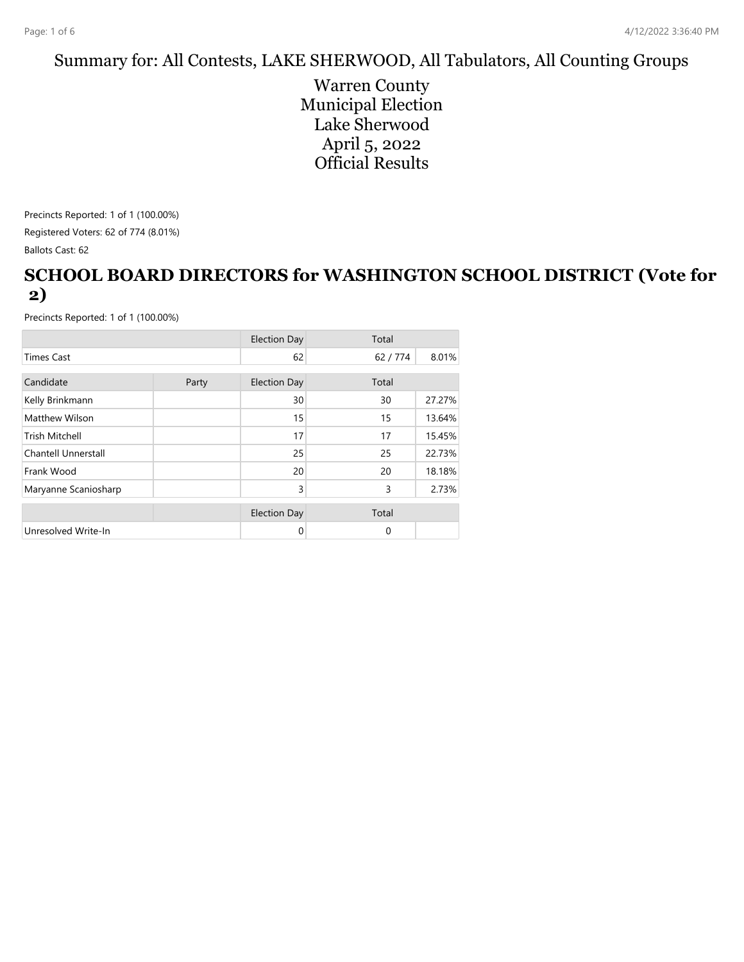#### Summary for: All Contests, LAKE SHERWOOD, All Tabulators, All Counting Groups

Warren County Municipal Election Lake Sherwood April 5, 2022 Official Results

Precincts Reported: 1 of 1 (100.00%)

Registered Voters: 62 of 774 (8.01%)

Ballots Cast: 62

### **SCHOOL BOARD DIRECTORS for WASHINGTON SCHOOL DISTRICT (Vote for 2)**

|                            |       | <b>Election Day</b> | Total        |        |
|----------------------------|-------|---------------------|--------------|--------|
| <b>Times Cast</b>          |       | 62                  | 62/774       | 8.01%  |
| Candidate                  |       | <b>Election Day</b> | Total        |        |
|                            | Party |                     |              |        |
| Kelly Brinkmann            |       | 30                  | 30           | 27.27% |
| Matthew Wilson             |       | 15                  | 15           | 13.64% |
| <b>Trish Mitchell</b>      |       | 17                  | 17           | 15.45% |
| <b>Chantell Unnerstall</b> |       | 25                  | 25           | 22.73% |
| Frank Wood                 |       | 20                  | 20           | 18.18% |
| Maryanne Scaniosharp       |       | 3                   | 3            | 2.73%  |
|                            |       |                     |              |        |
|                            |       | <b>Election Day</b> | Total        |        |
| Unresolved Write-In        |       | 0                   | $\mathbf{0}$ |        |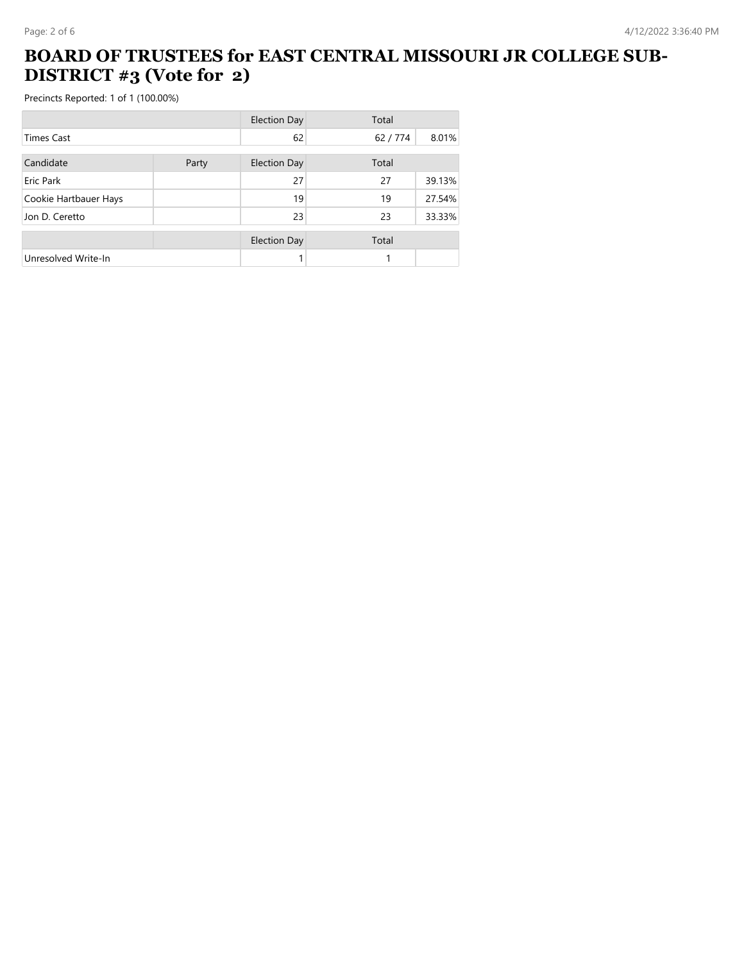### **BOARD OF TRUSTEES for EAST CENTRAL MISSOURI JR COLLEGE SUB-DISTRICT #3 (Vote for 2)**

|                       |       | <b>Election Day</b> | Total  |        |
|-----------------------|-------|---------------------|--------|--------|
| Times Cast            |       | 62                  | 62/774 | 8.01%  |
| Candidate             | Party | <b>Election Day</b> | Total  |        |
| Eric Park             |       | 27                  | 27     | 39.13% |
| Cookie Hartbauer Hays |       | 19                  | 19     | 27.54% |
| Jon D. Ceretto        |       | 23                  | 23     | 33.33% |
|                       |       | <b>Election Day</b> | Total  |        |
| Unresolved Write-In   |       |                     |        |        |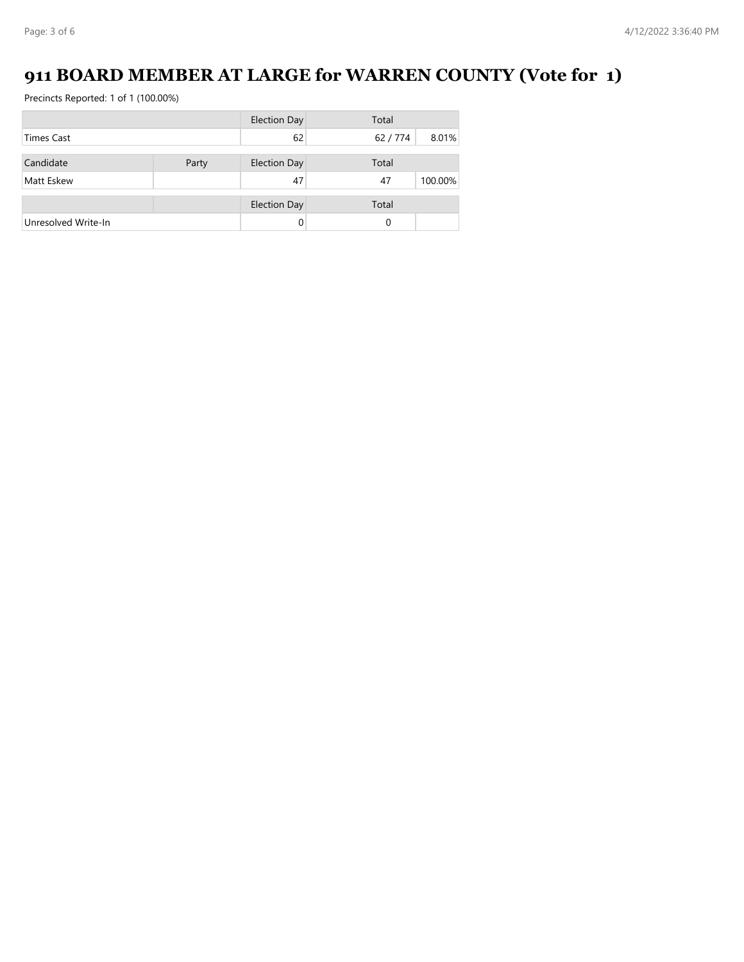# **911 BOARD MEMBER AT LARGE for WARREN COUNTY (Vote for 1)**

|                     |       | <b>Election Day</b> | Total  |         |
|---------------------|-------|---------------------|--------|---------|
| <b>Times Cast</b>   |       | 62                  | 62/774 | 8.01%   |
| Candidate           | Party | <b>Election Day</b> | Total  |         |
|                     |       |                     |        |         |
| Matt Eskew          |       | 47                  | 47     | 100.00% |
|                     |       | <b>Election Day</b> | Total  |         |
| Unresolved Write-In |       | 0                   | 0      |         |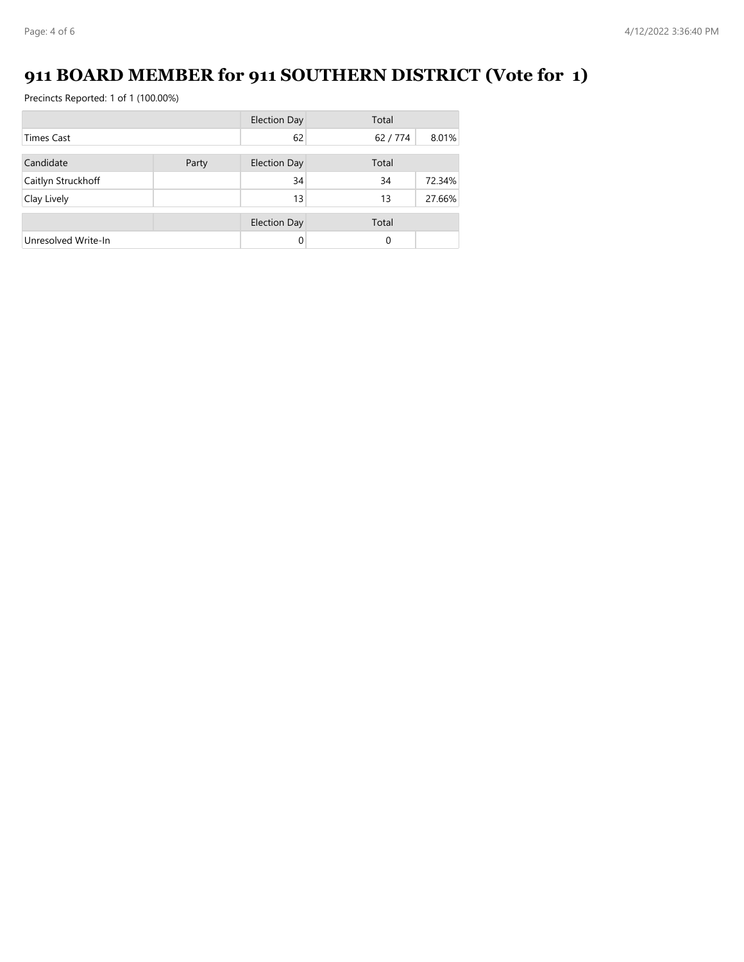# **911 BOARD MEMBER for 911 SOUTHERN DISTRICT (Vote for 1)**

|                     |       | <b>Election Day</b> | Total  |        |
|---------------------|-------|---------------------|--------|--------|
| <b>Times Cast</b>   |       | 62                  | 62/774 | 8.01%  |
| Candidate           | Party | <b>Election Day</b> | Total  |        |
| Caitlyn Struckhoff  |       | 34                  | 34     | 72.34% |
| Clay Lively         |       | 13                  | 13     | 27.66% |
|                     |       | <b>Election Day</b> | Total  |        |
| Unresolved Write-In |       | 0                   | 0      |        |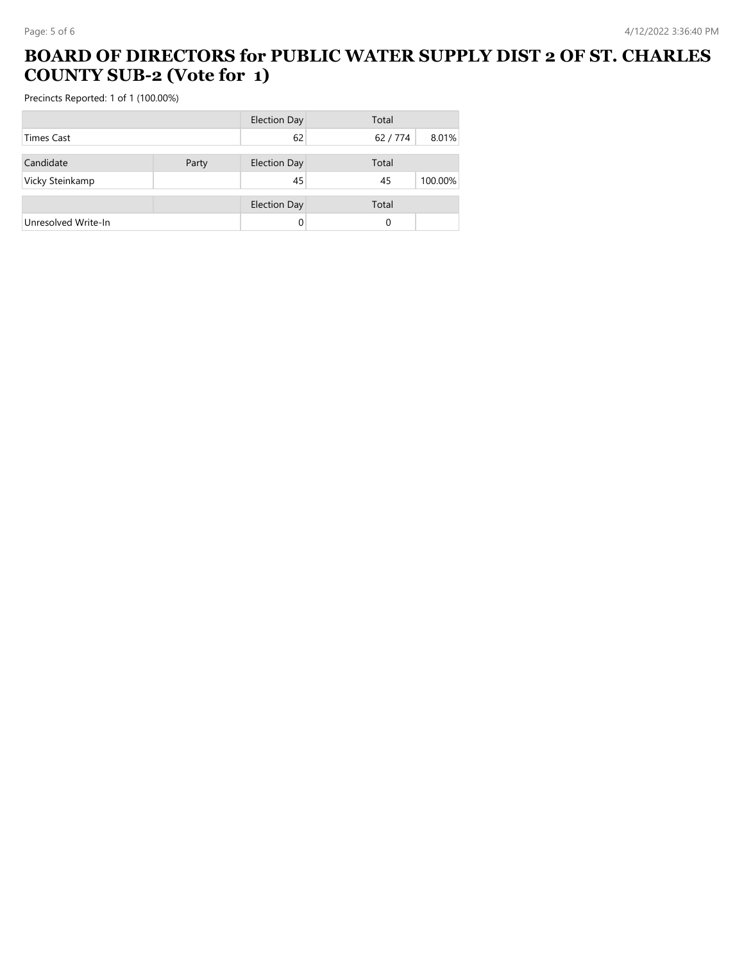#### **BOARD OF DIRECTORS for PUBLIC WATER SUPPLY DIST 2 OF ST. CHARLES COUNTY SUB-2 (Vote for 1)**

|                     |       | <b>Election Day</b> | Total  |         |
|---------------------|-------|---------------------|--------|---------|
| <b>Times Cast</b>   |       | 62                  | 62/774 | 8.01%   |
| Candidate           | Party | <b>Election Day</b> | Total  |         |
| Vicky Steinkamp     |       | 45                  | 45     | 100.00% |
|                     |       | <b>Election Day</b> | Total  |         |
| Unresolved Write-In |       | 0                   | 0      |         |